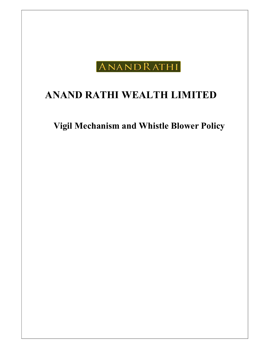

# ANAND RATHI WEALTH LIMITED

Vigil Mechanism and Whistle Blower Policy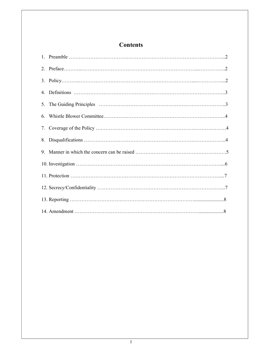# **Contents**

| 9. |  |
|----|--|
|    |  |
|    |  |
|    |  |
|    |  |
|    |  |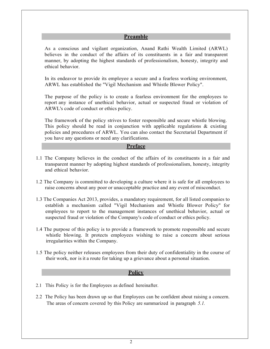# Preamble

As a conscious and vigilant organization, Anand Rathi Wealth Limited (ARWL) believes in the conduct of the affairs of its constituents in a fair and transparent manner, by adopting the highest standards of professionalism, honesty, integrity and ethical behavior.

In its endeavor to provide its employee a secure and a fearless working environment, ARWL has established the "Vigil Mechanism and Whistle Blower Policy".

The purpose of the policy is to create a fearless environment for the employees to report any instance of unethical behavior, actual or suspected fraud or violation of ARWL's code of conduct or ethics policy.

The framework of the policy strives to foster responsible and secure whistle blowing. This policy should be read in conjunction with applicable regulations  $\&$  existing policies and procedures of ARWL. You can also contact the Secretarial Department if you have any questions or need any clarifications.

#### **Preface**

- 1.1 The Company believes in the conduct of the affairs of its constituents in a fair and transparent manner by adopting highest standards of professionalism, honesty, integrity and ethical behavior.
- 1.2 The Company is committed to developing a culture where it is safe for all employees to raise concerns about any poor or unacceptable practice and any event of misconduct.
- 1.3 The Companies Act 2013, provides, a mandatory requirement, for all listed companies to establish a mechanism called "Vigil Mechanism and Whistle Blower Policy" for employees to report to the management instances of unethical behavior, actual or suspected fraud or violation of the Company's code of conduct or ethics policy.
- 1.4 The purpose of this policy is to provide a framework to promote responsible and secure whistle blowing. It protects employees wishing to raise a concern about serious irregularities within the Company.
- 1.5 The policy neither releases employees from their duty of confidentiality in the course of their work, nor is it a route for taking up a grievance about a personal situation.

#### **Policy**

- 2.1 This Policy is for the Employees as defined hereinafter.
- 2.2 The Policy has been drawn up so that Employees can be confident about raising a concern. The areas of concern covered by this Policy are summarized in paragraph 5.1.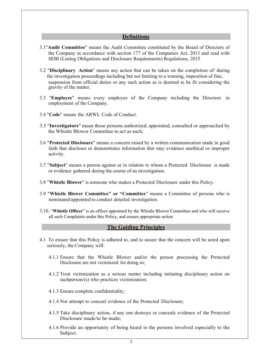#### **Definitions**

- 3.1"Audit Committee" means the Audit Committee constituted by the Board of Directors of the Company in accordance with section 177 of the Companies Act, 2013 and read with SEBI (Listing Obligations and Disclosure Requirements) Regulations, 2015
- 3.2 "Disciplinary Action" means any action that can be taken on the completion of/ during the investigation proceedings including but not limiting to a warning, imposition of fine, suspension from official duties or any such action as is deemed to be fit considering the gravity of the matter.
- 3.3 "Employee" means every employee of the Company including the Directors in employment of the Company.
- 3.4 "Code" means the ARWL Code of Conduct.
- 3.5 "Investigators" mean those persons authorized, appointed, consulted or approached by the Whistle Blower Committee to act as such;
- 3.6 "Protected Disclosure" means a concern raised by a written communication made in good faith that discloses or demonstrates information that may evidence unethical or improper activity.
- 3.7 "Subject" means a person against or in relation to whom a Protected Disclosure is made or evidence gathered during the course of an investigation.
- 3.8 "Whistle Blower" is someone who makes a Protected Disclosure under this Policy.
- 3.9 "Whistle Blower Committee" or "Committee" means a Committee of persons who is nominated/appointed to conduct detailed investigation.
- 3.10. "Whistle Officer" is an officer appointed by the Whistle Blower Committee and who will receive all such Complaints under this Policy, and ensure appropriate action

#### The Guiding Principles

- 4.1 To ensure that this Policy is adhered to, and to assure that the concern will be acted upon seriously, the Company will:
	- 4.1.1 Ensure that the Whistle Blower and/or the person processing the Protected Disclosure are not victimized for doing so;
	- 4.1.2 Treat victimization as a serious matter including initiating disciplinary action on such person/ $(s)$  who practices victimization;
	- 4.1.3 Ensure complete confidentiality;
	- 4.1.4 Not attempt to conceal evidence of the Protected Disclosure;
	- 4.1.5 Take disciplinary action, if any one destroys or conceals evidence of the Protected Disclosure made/to be made;
	- 4.1.6 Provide an opportunity of being heard to the persons involved especially to the Subject.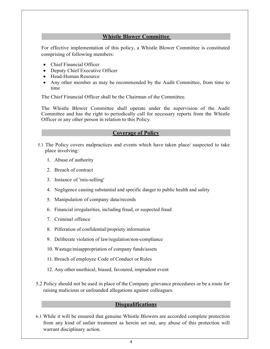# Whistle Blower Committee

For effective implementation of this policy, a Whistle Blower Committee is constituted comprising of following members:

- Chief Financial Officer
- Deputy Chief Executive Officer
- Head-Human Resource
- Any other member as may be recommended by the Audit Committee, from time to time

The Chief Financial Officer shall be the Chairman of the Committee.

The Whistle Blower Committee shall operate under the supervision of the Audit Committee and has the right to periodically call for necessary reports from the Whistle Officer or any other person in relation to this Policy.

# Coverage of Policy

- 5.1 The Policy covers malpractices and events which have taken place/ suspected to take place involving:
	- 1. Abuse of authority
	- 2. Breach of contract
	- 3. Instance of 'mis-selling'
	- 4. Negligence causing substantial and specific danger to public health and safety
	- 5. Manipulation of company data/records
	- 6. Financial irregularities, including fraud, or suspected fraud
	- 7. Criminal offence
	- 8. Pilferation of confidential/propriety information
	- 9. Deliberate violation of law/regulation/non-compliance
	- 10. Wastage/misappropriation of company funds/assets
	- 11. Breach of employee Code of Conduct or Rules
	- 12. Any other unethical, biased, favoured, imprudent event
- 5.2 Policy should not be used in place of the Company grievance procedures or be a route for raising malicious or unfounded allegations against colleagues.

### **Disqualifications**

6.1 While it will be ensured that genuine Whistle Blowers are accorded complete protection from any kind of unfair treatment as herein set out, any abuse of this protection will warrant disciplinary action.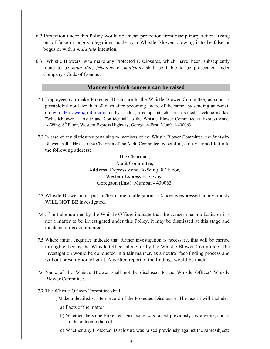- 6.2 Protection under this Policy would not mean protection from disciplinary action arising out of false or bogus allegations made by a Whistle Blower knowing it to be false or bogus or with a mala fide intention.
- 6.3 Whistle Blowers, who make any Protected Disclosures, which have been subsequently found to be mala fide, frivolous or malicious shall be liable to be prosecuted under Company's Code of Conduct.

### Manner in which concern can be raised

- 7.1 Employees can make Protected Disclosure to the Whistle Blower Committee, as soon as possible but not later than 30 days after becoming aware of the same, by sending an e-mail on whistleblower@rathi.com or by sending a complaint letter in a sealed envelope marked "Whistleblower – Private and Confidential" to the Whistle Blower Committee at Express Zone, A-Wing, 8<sup>th</sup> Floor, Western Express Highway, Goregaon-East, Mumbai-400063
- 7.2 In case of any disclosures pertaining to members of the Whistle Blower Committee, the Whistle-Blower shall address to the Chairman of the Audit Committee by sending a duly signed letter to the following address:

The Chairman, Audit Committee, Address: Express Zone, A-Wing,  $8<sup>th</sup>$  Floor, Western Express Highway, Goregaon (East), Mumbai - 400063

- 7.3 Whistle Blower must put his/her name to allegations. Concerns expressed anonymously WILL NOT BE investigated.
- 7.4 .If initial enquiries by the Whistle Officer indicate that the concern has no basis, or it is not a matter to be investigated under this Policy, it may be dismissed at this stage and the decision is documented.
- 7.5 Where initial enquiries indicate that further investigation is necessary, this will be carried through either by the Whistle Officer alone, or by the Whistle Blower Committee. The investigation would be conducted in a fair manner, as a neutral fact-finding process and without presumption of guilt. A written report of the findings would be made.
- 7.6 Name of the Whistle Blower shall not be disclosed to the Whistle Officer/ Whistle Blower Committee.
- 7.7 The Whistle Officer/Committee shall:
	- i)Make a detailed written record of the Protected Disclosure. The record will include:
		- a) Facts of the matter
		- b) Whether the same Protected Disclosure was raised previously by anyone, and if so, the outcome thereof;
		- c) Whether any Protected Disclosure was raised previously against the same subject;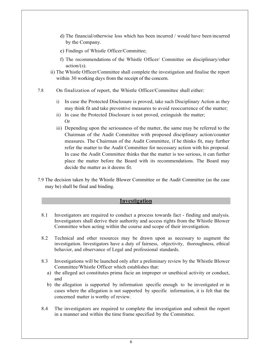- d) The financial/otherwise loss which has been incurred / would have been incurred by the Company.
- e) Findings of Whistle Officer/Committee;
- f) The recommendations of the Whistle Officer/ Committee on disciplinary/other  $action/(s)$ .
- ii) The Whistle Officer/Committee shall complete the investigation and finalise the report within 30 working days from the receipt of the concern.
- 7.8 On finalization of report, the Whistle Officer/Committee shall either:
	- i) In case the Protected Disclosure is proved, take such Disciplinary Action as they may think fit and take preventive measures to avoid reoccurrence of the matter;
	- ii) In case the Protected Disclosure is not proved, extinguish the matter; Or
	- iii) Depending upon the seriousness of the matter, the same may be referred to the Chairman of the Audit Committee with proposed disciplinary action/counter measures. The Chairman of the Audit Committee, if he thinks fit, may further refer the matter to the Audit Committee for necessary action with his proposal. In case the Audit Committee thinks that the matter is too serious, it can further place the matter before the Board with its recommendations. The Board may decide the matter as it deems fit.
- 7.9 The decision taken by the Whistle Blower Committee or the Audit Committee (as the case may be) shall be final and binding.

# **Investigation**

- 8.1 Investigators are required to conduct a process towards fact finding and analysis. Investigators shall derive their authority and access rights from the Whistle Blower Committee when acting within the course and scope of their investigation.
- 8.2 Technical and other resources may be drawn upon as necessary to augment the investigation. Investigators have a duty of fairness, objectivity, thoroughness, ethical behavior, and observance of Legal and professional standards.
- 8.3 Investigations will be launched only after a preliminary review by the Whistle Blower Committee/Whistle Officer which establishes that:
	- a) the alleged act constitutes prima facie an improper or unethical activity or conduct, and
	- b) the allegation is supported by information specific enough to be investigated or in cases where the allegation is not supported by specific information, it is felt that the concerned matter is worthy of review.
- 8.4 The investigators are required to complete the investigation and submit the report in a manner and within the time frame specified by the Committee.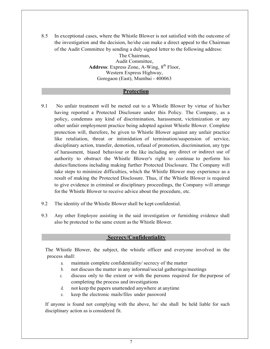8.5 In exceptional cases, where the Whistle Blower is not satisfied with the outcome of the investigation and the decision, he/she can make a direct appeal to the Chairman of the Audit Committee by sending a duly signed letter to the following address:

> The Chairman, Audit Committee, Address: Express Zone, A-Wing,  $8<sup>th</sup>$  Floor, Western Express Highway, Goregaon (East), Mumbai - 400063

# **Protection**

- 9.1 No unfair treatment will be meted out to a Whistle Blower by virtue of his/her having reported a Protected Disclosure under this Policy. The Company, as a policy, condemns any kind of discrimination, harassment, victimization or any other unfair employment practice being adopted against Whistle Blower. Complete protection will, therefore, be given to Whistle Blower against any unfair practice like retaliation, threat or intimidation of termination/suspension of service, disciplinary action, transfer, demotion, refusal of promotion, discrimination, any type of harassment, biased behaviour or the like including any direct or indirect use of authority to obstruct the Whistle Blower's right to continue to perform his duties/functions including making further Protected Disclosure. The Company will take steps to minimize difficulties, which the Whistle Blower may experience as a result of making the Protected Disclosure. Thus, if the Whistle Blower is required to give evidence in criminal or disciplinary proceedings, the Company will arrange for the Whistle Blower to receive advice about the procedure, etc.
- 9.2 The identity of the Whistle Blower shall be kept confidential.
- 9.3 Any other Employee assisting in the said investigation or furnishing evidence shall also be protected to the same extent as the Whistle Blower.

# Secrecy/Confidentiality

The Whistle Blower, the subject, the whistle officer and everyone involved in the process shall:

- a. maintain complete confidentiality/ secrecy of the matter
- b. not discuss the matter in any informal/social gatherings/meetings
- c. discuss only to the extent or with the persons required for the purpose of completing the process and investigations
- d. not keep the papers unattended anywhere at anytime
- e. keep the electronic mails/files under password

If anyone is found not complying with the above, he/ she shall be held liable for such disciplinary action as is considered fit.